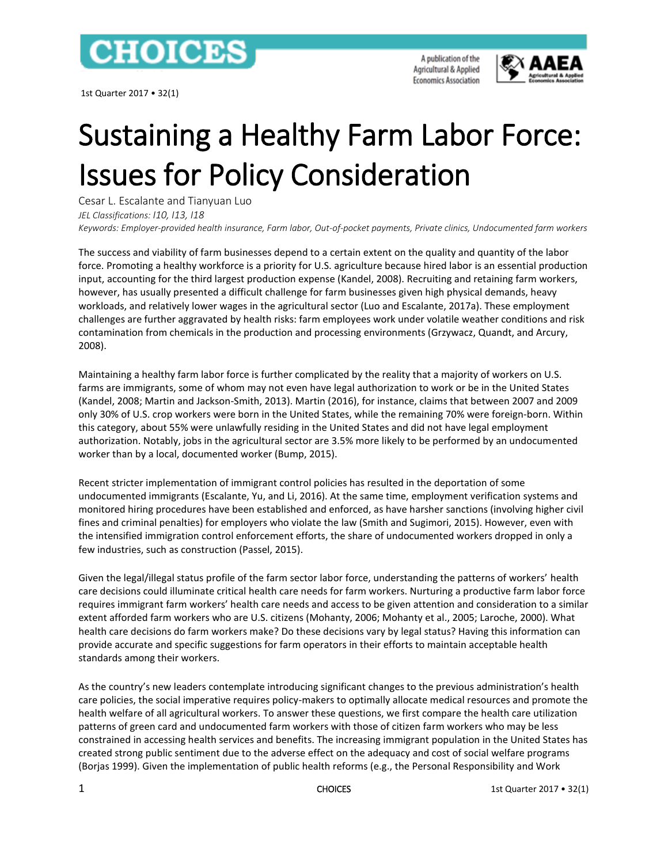

1st Quarter 2017 • 32(1)

A publication of the Agricultural & Applied **Economics Association** 



# Sustaining a Healthy Farm Labor Force: Issues for Policy Consideration

Cesar L. Escalante and Tianyuan Luo *JEL Classifications: I10, I13, I18 Keywords: Employer-provided health insurance, Farm labor, Out-of-pocket payments, Private clinics, Undocumented farm workers*

The success and viability of farm businesses depend to a certain extent on the quality and quantity of the labor force. Promoting a healthy workforce is a priority for U.S. agriculture because hired labor is an essential production input, accounting for the third largest production expense (Kandel, 2008). Recruiting and retaining farm workers, however, has usually presented a difficult challenge for farm businesses given high physical demands, heavy workloads, and relatively lower wages in the agricultural sector (Luo and Escalante, 2017a). These employment challenges are further aggravated by health risks: farm employees work under volatile weather conditions and risk contamination from chemicals in the production and processing environments (Grzywacz, Quandt, and Arcury, 2008).

Maintaining a healthy farm labor force is further complicated by the reality that a majority of workers on U.S. farms are immigrants, some of whom may not even have legal authorization to work or be in the United States (Kandel, 2008; Martin and Jackson-Smith, 2013). Martin (2016), for instance, claims that between 2007 and 2009 only 30% of U.S. crop workers were born in the United States, while the remaining 70% were foreign-born. Within this category, about 55% were unlawfully residing in the United States and did not have legal employment authorization. Notably, jobs in the agricultural sector are 3.5% more likely to be performed by an undocumented worker than by a local, documented worker (Bump, 2015).

Recent stricter implementation of immigrant control policies has resulted in the deportation of some undocumented immigrants (Escalante, Yu, and Li, 2016). At the same time, employment verification systems and monitored hiring procedures have been established and enforced, as have harsher sanctions (involving higher civil fines and criminal penalties) for employers who violate the law (Smith and Sugimori, 2015). However, even with the intensified immigration control enforcement efforts, the share of undocumented workers dropped in only a few industries, such as construction (Passel, 2015).

Given the legal/illegal status profile of the farm sector labor force, understanding the patterns of workers' health care decisions could illuminate critical health care needs for farm workers. Nurturing a productive farm labor force requires immigrant farm workers' health care needs and access to be given attention and consideration to a similar extent afforded farm workers who are U.S. citizens (Mohanty, 2006; Mohanty et al., 2005; Laroche, 2000). What health care decisions do farm workers make? Do these decisions vary by legal status? Having this information can provide accurate and specific suggestions for farm operators in their efforts to maintain acceptable health standards among their workers.

As the country's new leaders contemplate introducing significant changes to the previous administration's health care policies, the social imperative requires policy-makers to optimally allocate medical resources and promote the health welfare of all agricultural workers. To answer these questions, we first compare the health care utilization patterns of green card and undocumented farm workers with those of citizen farm workers who may be less constrained in accessing health services and benefits. The increasing immigrant population in the United States has created strong public sentiment due to the adverse effect on the adequacy and cost of social welfare programs (Borjas 1999). Given the implementation of public health reforms (e.g., the Personal Responsibility and Work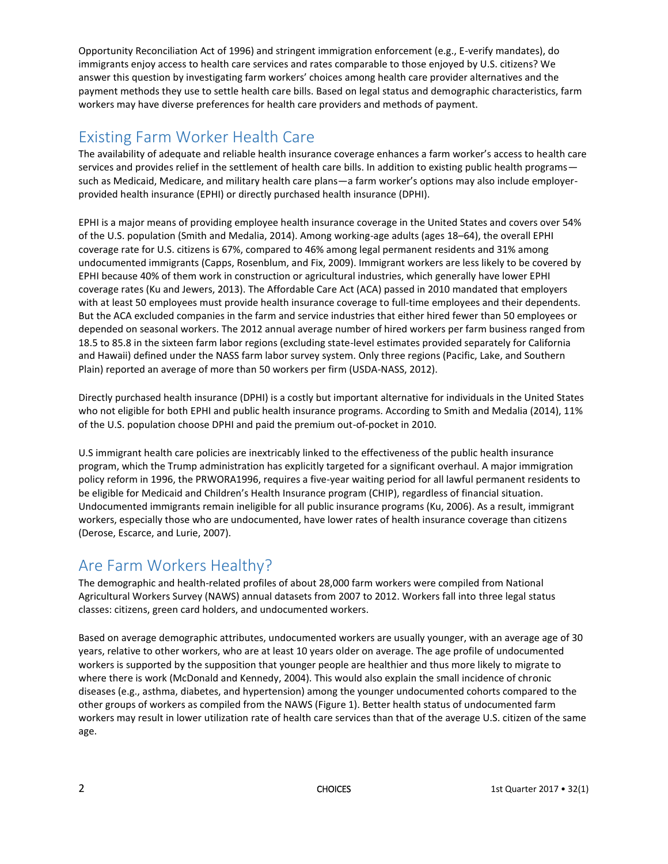Opportunity Reconciliation Act of 1996) and stringent immigration enforcement (e.g., E-verify mandates), do immigrants enjoy access to health care services and rates comparable to those enjoyed by U.S. citizens? We answer this question by investigating farm workers' choices among health care provider alternatives and the payment methods they use to settle health care bills. Based on legal status and demographic characteristics, farm workers may have diverse preferences for health care providers and methods of payment.

## Existing Farm Worker Health Care

The availability of adequate and reliable health insurance coverage enhances a farm worker's access to health care services and provides relief in the settlement of health care bills. In addition to existing public health programs such as Medicaid, Medicare, and military health care plans—a farm worker's options may also include employerprovided health insurance (EPHI) or directly purchased health insurance (DPHI).

EPHI is a major means of providing employee health insurance coverage in the United States and covers over 54% of the U.S. population (Smith and Medalia, 2014). Among working-age adults (ages 18–64), the overall EPHI coverage rate for U.S. citizens is 67%, compared to 46% among legal permanent residents and 31% among undocumented immigrants (Capps, Rosenblum, and Fix, 2009). Immigrant workers are less likely to be covered by EPHI because 40% of them work in construction or agricultural industries, which generally have lower EPHI coverage rates (Ku and Jewers, 2013). The Affordable Care Act (ACA) passed in 2010 mandated that employers with at least 50 employees must provide health insurance coverage to full-time employees and their dependents. But the ACA excluded companies in the farm and service industries that either hired fewer than 50 employees or depended on seasonal workers. The 2012 annual average number of hired workers per farm business ranged from 18.5 to 85.8 in the sixteen farm labor regions (excluding state-level estimates provided separately for California and Hawaii) defined under the NASS farm labor survey system. Only three regions (Pacific, Lake, and Southern Plain) reported an average of more than 50 workers per firm (USDA-NASS, 2012).

Directly purchased health insurance (DPHI) is a costly but important alternative for individuals in the United States who not eligible for both EPHI and public health insurance programs. According to Smith and Medalia (2014), 11% of the U.S. population choose DPHI and paid the premium out-of-pocket in 2010.

U.S immigrant health care policies are inextricably linked to the effectiveness of the public health insurance program, which the Trump administration has explicitly targeted for a significant overhaul. A major immigration policy reform in 1996, the PRWORA1996, requires a five-year waiting period for all lawful permanent residents to be eligible for Medicaid and Children's Health Insurance program (CHIP), regardless of financial situation. Undocumented immigrants remain ineligible for all public insurance programs (Ku, 2006). As a result, immigrant workers, especially those who are undocumented, have lower rates of health insurance coverage than citizens (Derose, Escarce, and Lurie, 2007).

## Are Farm Workers Healthy?

The demographic and health-related profiles of about 28,000 farm workers were compiled from National Agricultural Workers Survey (NAWS) annual datasets from 2007 to 2012. Workers fall into three legal status classes: citizens, green card holders, and undocumented workers.

Based on average demographic attributes, undocumented workers are usually younger, with an average age of 30 years, relative to other workers, who are at least 10 years older on average. The age profile of undocumented workers is supported by the supposition that younger people are healthier and thus more likely to migrate to where there is work (McDonald and Kennedy, 2004). This would also explain the small incidence of chronic diseases (e.g., asthma, diabetes, and hypertension) among the younger undocumented cohorts compared to the other groups of workers as compiled from the NAWS (Figure 1). Better health status of undocumented farm workers may result in lower utilization rate of health care services than that of the average U.S. citizen of the same age.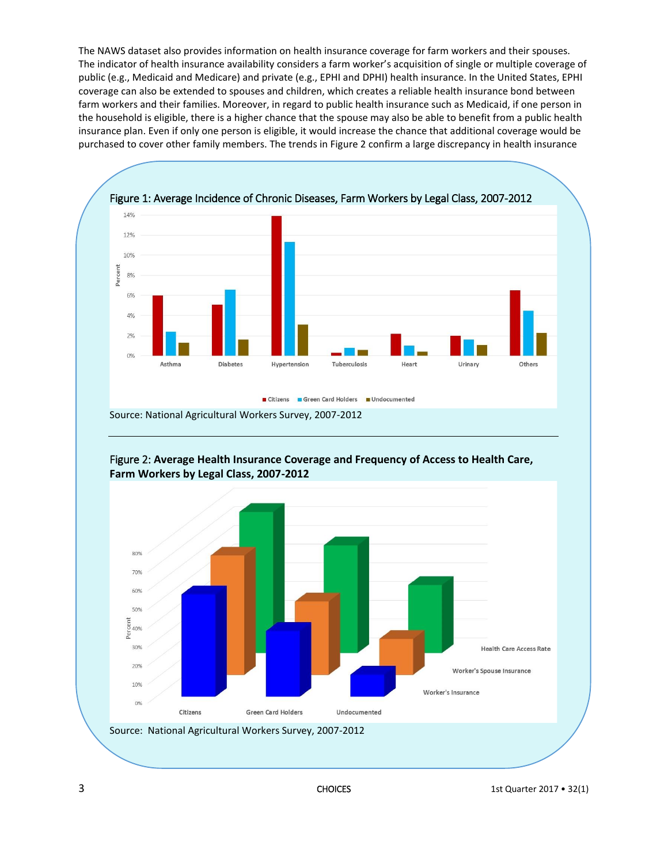The NAWS dataset also provides information on health insurance coverage for farm workers and their spouses. The indicator of health insurance availability considers a farm worker's acquisition of single or multiple coverage of public (e.g., Medicaid and Medicare) and private (e.g., EPHI and DPHI) health insurance. In the United States, EPHI coverage can also be extended to spouses and children, which creates a reliable health insurance bond between farm workers and their families. Moreover, in regard to public health insurance such as Medicaid, if one person in the household is eligible, there is a higher chance that the spouse may also be able to benefit from a public health insurance plan. Even if only one person is eligible, it would increase the chance that additional coverage would be purchased to cover other family members. The trends in Figure 2 confirm a large discrepancy in health insurance



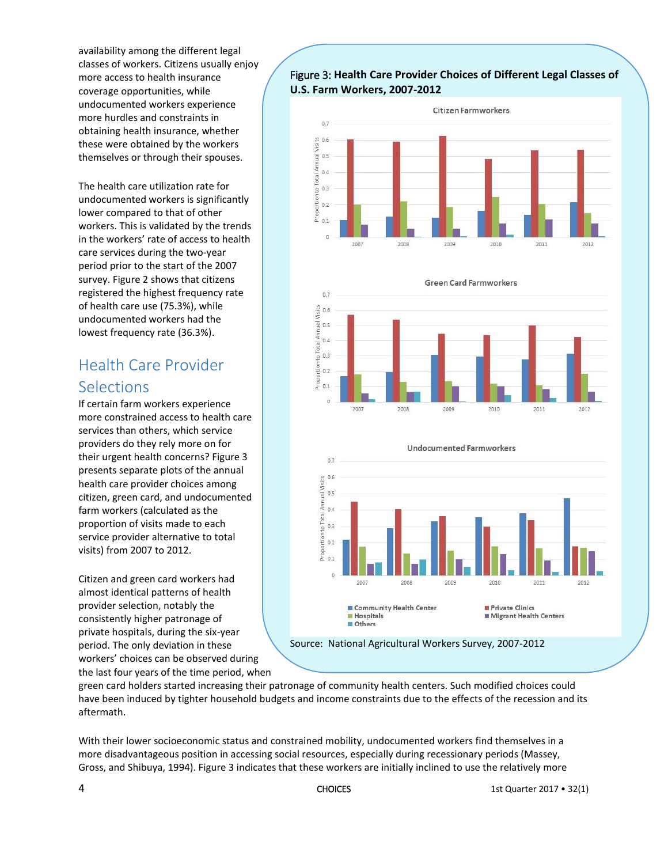availability among the different legal classes of workers. Citizens usually enjoy more access to health insurance coverage opportunities, while undocumented workers experience more hurdles and constraints in obtaining health insurance, whether these were obtained by the workers themselves or through their spouses.

The health care utilization rate for undocumented workers is significantly lower compared to that of other workers. This is validated by the trends in the workers' rate of access to health care services during the two-year period prior to the start of the 2007 survey. Figure 2 shows that citizens registered the highest frequency rate of health care use (75.3%), while undocumented workers had the lowest frequency rate (36.3%).

# Health Care Provider Selections

If certain farm workers experience more constrained access to health care services than others, which service providers do they rely more on for their urgent health concerns? Figure 3 presents separate plots of the annual health care provider choices among citizen, green card, and undocumented farm workers (calculated as the proportion of visits made to each service provider alternative to total visits) from 2007 to 2012.

Citizen and green card workers had almost identical patterns of health provider selection, notably the consistently higher patronage of private hospitals, during the six-year period. The only deviation in these workers' choices can be observed during the last four years of the time period, when

#### Figure 3: **Health Care Provider Choices of Different Legal Classes of U.S. Farm Workers, 2007-2012**







green card holders started increasing their patronage of community health centers. Such modified choices could have been induced by tighter household budgets and income constraints due to the effects of the recession and its aftermath.

With their lower socioeconomic status and constrained mobility, undocumented workers find themselves in a more disadvantageous position in accessing social resources, especially during recessionary periods (Massey, Gross, and Shibuya, 1994). Figure 3 indicates that these workers are initially inclined to use the relatively more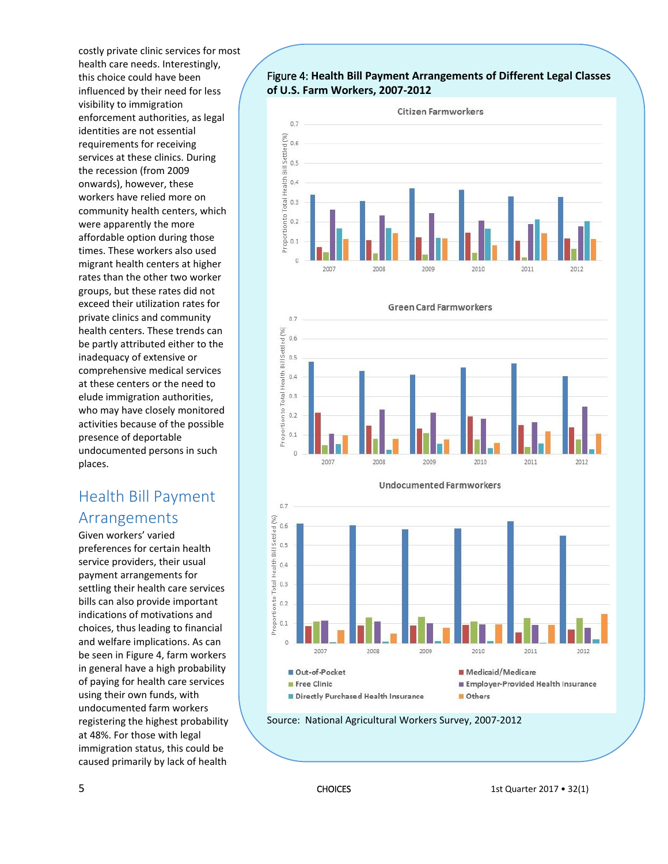costly private clinic services for most health care needs. Interestingly, this choice could have been influenced by their need for less visibility to immigration enforcement authorities, as legal identities are not essential requirements for receiving services at these clinics. During the recession (from 2009 onwards), however, these workers have relied more on community health centers, which were apparently the more affordable option during those times. These workers also used migrant health centers at higher rates than the other two worker groups, but these rates did not exceed their utilization rates for private clinics and community health centers. These trends can be partly attributed either to the inadequacy of extensive or comprehensive medical services at these centers or the need to elude immigration authorities, who may have closely monitored activities because of the possible presence of deportable undocumented persons in such places.

## Health Bill Payment Arrangements

Given workers' varied preferences for certain health service providers, their usual payment arrangements for settling their health care services bills can also provide important indications of motivations and choices, thus leading to financial and welfare implications. As can be seen in Figure 4, farm workers in general have a high probability of paying for health care services using their own funds, with undocumented farm workers registering the highest probability at 48%. For those with legal immigration status, this could be caused primarily by lack of health

#### Figure 4: **Health Bill Payment Arrangements of Different Legal Classes of U.S. Farm Workers, 2007-2012**







Source: National Agricultural Workers Survey, 2007-2012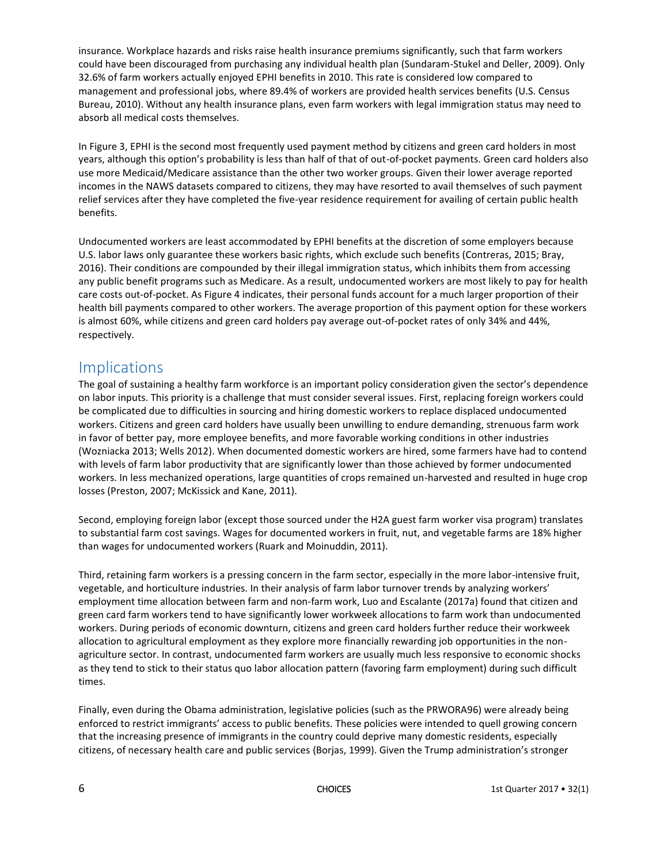insurance. Workplace hazards and risks raise health insurance premiums significantly, such that farm workers could have been discouraged from purchasing any individual health plan (Sundaram-Stukel and Deller, 2009). Only 32.6% of farm workers actually enjoyed EPHI benefits in 2010. This rate is considered low compared to management and professional jobs, where 89.4% of workers are provided health services benefits (U.S. Census Bureau, 2010). Without any health insurance plans, even farm workers with legal immigration status may need to absorb all medical costs themselves.

In Figure 3, EPHI is the second most frequently used payment method by citizens and green card holders in most years, although this option's probability is less than half of that of out-of-pocket payments. Green card holders also use more Medicaid/Medicare assistance than the other two worker groups. Given their lower average reported incomes in the NAWS datasets compared to citizens, they may have resorted to avail themselves of such payment relief services after they have completed the five-year residence requirement for availing of certain public health benefits.

Undocumented workers are least accommodated by EPHI benefits at the discretion of some employers because U.S. labor laws only guarantee these workers basic rights, which exclude such benefits (Contreras, 2015; Bray, 2016). Their conditions are compounded by their illegal immigration status, which inhibits them from accessing any public benefit programs such as Medicare. As a result, undocumented workers are most likely to pay for health care costs out-of-pocket. As Figure 4 indicates, their personal funds account for a much larger proportion of their health bill payments compared to other workers. The average proportion of this payment option for these workers is almost 60%, while citizens and green card holders pay average out-of-pocket rates of only 34% and 44%, respectively.

#### Implications

The goal of sustaining a healthy farm workforce is an important policy consideration given the sector's dependence on labor inputs. This priority is a challenge that must consider several issues. First, replacing foreign workers could be complicated due to difficulties in sourcing and hiring domestic workers to replace displaced undocumented workers. Citizens and green card holders have usually been unwilling to endure demanding, strenuous farm work in favor of better pay, more employee benefits, and more favorable working conditions in other industries (Wozniacka 2013; Wells 2012). When documented domestic workers are hired, some farmers have had to contend with levels of farm labor productivity that are significantly lower than those achieved by former undocumented workers. In less mechanized operations, large quantities of crops remained un-harvested and resulted in huge crop losses (Preston, 2007; McKissick and Kane, 2011).

Second, employing foreign labor (except those sourced under the H2A guest farm worker visa program) translates to substantial farm cost savings. Wages for documented workers in fruit, nut, and vegetable farms are 18% higher than wages for undocumented workers (Ruark and Moinuddin, 2011).

Third, retaining farm workers is a pressing concern in the farm sector, especially in the more labor-intensive fruit, vegetable, and horticulture industries. In their analysis of farm labor turnover trends by analyzing workers' employment time allocation between farm and non-farm work, Luo and Escalante (2017a) found that citizen and green card farm workers tend to have significantly lower workweek allocations to farm work than undocumented workers. During periods of economic downturn, citizens and green card holders further reduce their workweek allocation to agricultural employment as they explore more financially rewarding job opportunities in the nonagriculture sector. In contrast, undocumented farm workers are usually much less responsive to economic shocks as they tend to stick to their status quo labor allocation pattern (favoring farm employment) during such difficult times.

Finally, even during the Obama administration, legislative policies (such as the PRWORA96) were already being enforced to restrict immigrants' access to public benefits. These policies were intended to quell growing concern that the increasing presence of immigrants in the country could deprive many domestic residents, especially citizens, of necessary health care and public services (Borjas, 1999). Given the Trump administration's stronger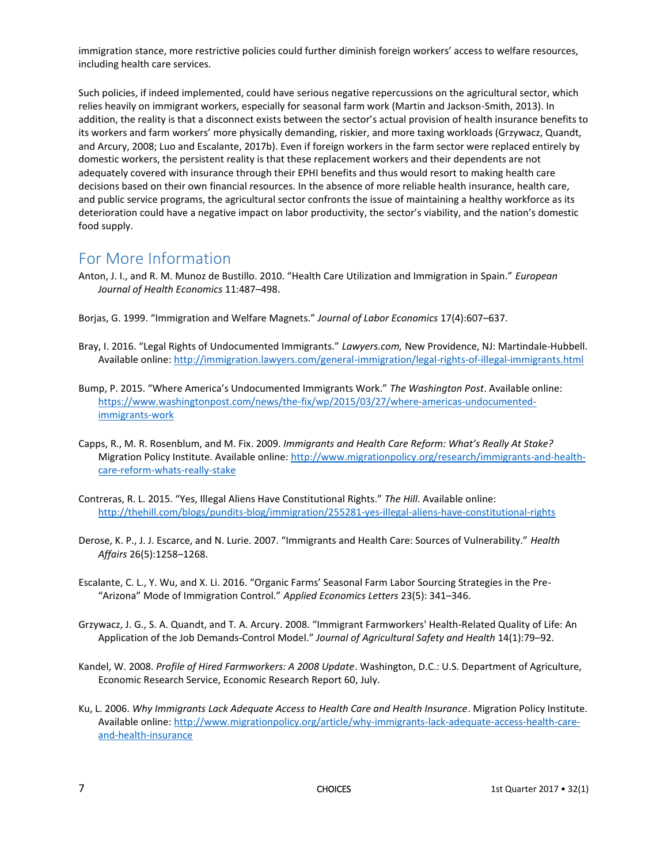immigration stance, more restrictive policies could further diminish foreign workers' access to welfare resources, including health care services.

Such policies, if indeed implemented, could have serious negative repercussions on the agricultural sector, which relies heavily on immigrant workers, especially for seasonal farm work (Martin and Jackson-Smith, 2013). In addition, the reality is that a disconnect exists between the sector's actual provision of health insurance benefits to its workers and farm workers' more physically demanding, riskier, and more taxing workloads (Grzywacz, Quandt, and Arcury, 2008; Luo and Escalante, 2017b). Even if foreign workers in the farm sector were replaced entirely by domestic workers, the persistent reality is that these replacement workers and their dependents are not adequately covered with insurance through their EPHI benefits and thus would resort to making health care decisions based on their own financial resources. In the absence of more reliable health insurance, health care, and public service programs, the agricultural sector confronts the issue of maintaining a healthy workforce as its deterioration could have a negative impact on labor productivity, the sector's viability, and the nation's domestic food supply.

### For More Information

- Anton, J. I., and R. M. Munoz de Bustillo. 2010. "Health Care Utilization and Immigration in Spain." *European Journal of Health Economics* 11:487–498.
- Borjas, G. 1999. "Immigration and Welfare Magnets." *Journal of Labor Economics* 17(4):607–637.
- Bray, I. 2016. "Legal Rights of Undocumented Immigrants." *Lawyers.com,* New Providence, NJ: Martindale-Hubbell. Available online[: http://immigration.lawyers.com/general-immigration/legal-rights-of-illegal-immigrants.html](http://immigration.lawyers.com/general-immigration/legal-rights-of-illegal-immigrants.html)
- Bump, P. 2015. "Where America's Undocumented Immigrants Work." *The Washington Post*. Available online: [https://www.washingtonpost.com/news/the-fix/wp/2015/03/27/where-americas-undocumented](https://www.washingtonpost.com/news/the-fix/wp/2015/03/27/where-americas-undocumented-immigrants-work)[immigrants-work](https://www.washingtonpost.com/news/the-fix/wp/2015/03/27/where-americas-undocumented-immigrants-work)
- Capps, R., M. R. Rosenblum, and M. Fix. 2009. *Immigrants and Health Care Reform: What's Really At Stake?* Migration Policy Institute. Available online: [http://www.migrationpolicy.org/research/immigrants-and-health](http://www.migrationpolicy.org/research/immigrants-and-health-care-reform-whats-really-stake)[care-reform-whats-really-stake](http://www.migrationpolicy.org/research/immigrants-and-health-care-reform-whats-really-stake)
- Contreras, R. L. 2015. "Yes, Illegal Aliens Have Constitutional Rights." *The Hill*. Available online: <http://thehill.com/blogs/pundits-blog/immigration/255281-yes-illegal-aliens-have-constitutional-rights>
- Derose, K. P., J. J. Escarce, and N. Lurie. 2007. "Immigrants and Health Care: Sources of Vulnerability." *Health Affairs* 26(5):1258–1268.
- Escalante, C. L., Y. Wu, and X. Li. 2016. "Organic Farms' Seasonal Farm Labor Sourcing Strategies in the Pre- "Arizona" Mode of Immigration Control." *Applied Economics Letters* 23(5): 341–346.
- Grzywacz, J. G., S. A. Quandt, and T. A. Arcury. 2008. "Immigrant Farmworkers' Health-Related Quality of Life: An Application of the Job Demands-Control Model." *Journal of Agricultural Safety and Health* 14(1):79–92.
- Kandel, W. 2008. *Profile of Hired Farmworkers: A 2008 Update*. Washington, D.C.: U.S. Department of Agriculture, Economic Research Service, Economic Research Report 60, July.
- Ku, L. 2006. *Why Immigrants Lack Adequate Access to Health Care and Health Insurance*. Migration Policy Institute. Available online[: http://www.migrationpolicy.org/article/why-immigrants-lack-adequate-access-health-care](http://www.migrationpolicy.org/article/why-immigrants-lack-adequate-access-health-care-and-health-insurance)[and-health-insurance](http://www.migrationpolicy.org/article/why-immigrants-lack-adequate-access-health-care-and-health-insurance)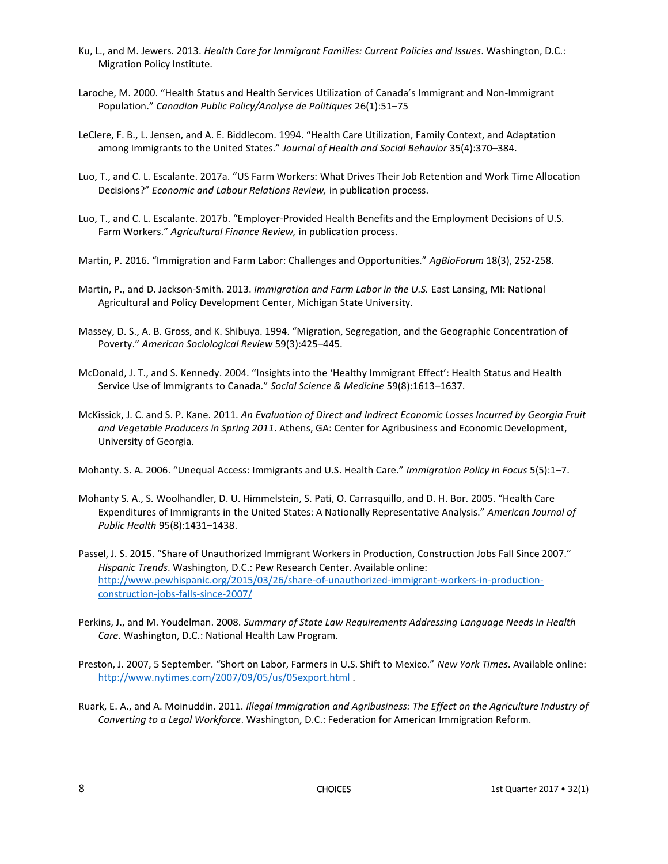- Ku, L., and M. Jewers. 2013. *Health Care for Immigrant Families: Current Policies and Issues*. Washington, D.C.: Migration Policy Institute.
- Laroche, M. 2000. "Health Status and Health Services Utilization of Canada's Immigrant and Non-Immigrant Population." *Canadian Public Policy/Analyse de Politiques* 26(1):51–75
- LeClere, F. B., L. Jensen, and A. E. Biddlecom. 1994. "Health Care Utilization, Family Context, and Adaptation among Immigrants to the United States." *Journal of Health and Social Behavior* 35(4):370–384.
- Luo, T., and C. L. Escalante. 2017a. "US Farm Workers: What Drives Their Job Retention and Work Time Allocation Decisions?" *Economic and Labour Relations Review,* in publication process.
- Luo, T., and C. L. Escalante. 2017b. "Employer-Provided Health Benefits and the Employment Decisions of U.S. Farm Workers." *Agricultural Finance Review,* in publication process.
- Martin, P. 2016. "Immigration and Farm Labor: Challenges and Opportunities." *AgBioForum* 18(3), 252-258.
- Martin, P., and D. Jackson-Smith. 2013. *Immigration and Farm Labor in the U.S.* East Lansing, MI: National Agricultural and Policy Development Center, Michigan State University.
- Massey, D. S., A. B. Gross, and K. Shibuya. 1994. "Migration, Segregation, and the Geographic Concentration of Poverty." *American Sociological Review* 59(3):425–445.
- McDonald, J. T., and S. Kennedy. 2004. "Insights into the 'Healthy Immigrant Effect': Health Status and Health Service Use of Immigrants to Canada." *Social Science & Medicine* 59(8):1613–1637.
- McKissick, J. C. and S. P. Kane. 2011. *An Evaluation of Direct and Indirect Economic Losses Incurred by Georgia Fruit and Vegetable Producers in Spring 2011*. Athens, GA: Center for Agribusiness and Economic Development, University of Georgia.

Mohanty. S. A. 2006. "Unequal Access: Immigrants and U.S. Health Care." *Immigration Policy in Focus* 5(5):1–7.

- Mohanty S. A., S. Woolhandler, D. U. Himmelstein, S. Pati, O. Carrasquillo, and D. H. Bor. 2005. "Health Care Expenditures of Immigrants in the United States: A Nationally Representative Analysis." *American Journal of Public Health* 95(8):1431–1438.
- Passel, J. S. 2015. "Share of Unauthorized Immigrant Workers in Production, Construction Jobs Fall Since 2007." *Hispanic Trends*. Washington, D.C.: Pew Research Center. Available online: [http://www.pewhispanic.org/2015/03/26/share-of-unauthorized-immigrant-workers-in-production](http://www.pewhispanic.org/2015/03/26/share-of-unauthorized-immigrant-workers-in-production-construction-jobs-falls-since-2007/)[construction-jobs-falls-since-2007/](http://www.pewhispanic.org/2015/03/26/share-of-unauthorized-immigrant-workers-in-production-construction-jobs-falls-since-2007/)
- Perkins, J., and M. Youdelman. 2008. *Summary of State Law Requirements Addressing Language Needs in Health Care*. Washington, D.C.: National Health Law Program.
- Preston, J. 2007, 5 September. "Short on Labor, Farmers in U.S. Shift to Mexico." *New York Times*. Available online: <http://www.nytimes.com/2007/09/05/us/05export.html> .
- Ruark, E. A., and A. Moinuddin. 2011. *Illegal Immigration and Agribusiness: The Effect on the Agriculture Industry of Converting to a Legal Workforce*. Washington, D.C.: Federation for American Immigration Reform.